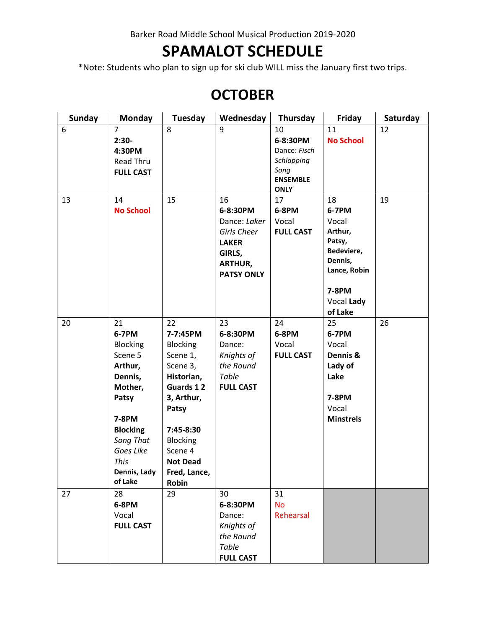Barker Road Middle School Musical Production 2019-2020

# **SPAMALOT SCHEDULE**

\*Note: Students who plan to sign up for ski club WILL miss the January first two trips.

# **OCTOBER**

| <b>Sunday</b> | <b>Monday</b>    | Tuesday         | Wednesday         | Thursday                       | Friday           | Saturday |
|---------------|------------------|-----------------|-------------------|--------------------------------|------------------|----------|
| 6             | 7                | 8               | 9                 | 10                             | 11               | 12       |
|               | $2:30-$          |                 |                   | 6-8:30PM                       | <b>No School</b> |          |
|               | 4:30PM           |                 |                   | Dance: Fisch                   |                  |          |
|               | Read Thru        |                 |                   | Schlapping                     |                  |          |
|               | <b>FULL CAST</b> |                 |                   | Song                           |                  |          |
|               |                  |                 |                   | <b>ENSEMBLE</b><br><b>ONLY</b> |                  |          |
| 13            | 14               | 15              | 16                | 17                             | 18               | 19       |
|               | <b>No School</b> |                 | 6-8:30PM          | 6-8PM                          | 6-7PM            |          |
|               |                  |                 | Dance: Laker      | Vocal                          | Vocal            |          |
|               |                  |                 | Girls Cheer       | <b>FULL CAST</b>               | Arthur,          |          |
|               |                  |                 | <b>LAKER</b>      |                                | Patsy,           |          |
|               |                  |                 | GIRLS,            |                                | Bedeviere,       |          |
|               |                  |                 | <b>ARTHUR,</b>    |                                | Dennis,          |          |
|               |                  |                 | <b>PATSY ONLY</b> |                                | Lance, Robin     |          |
|               |                  |                 |                   |                                | <b>7-8PM</b>     |          |
|               |                  |                 |                   |                                | Vocal Lady       |          |
|               |                  |                 |                   |                                | of Lake          |          |
| 20            | 21               | 22              | 23                | 24                             | 25               | 26       |
|               | 6-7PM            | 7-7:45PM        | 6-8:30PM          | 6-8PM                          | 6-7PM            |          |
|               | <b>Blocking</b>  | <b>Blocking</b> | Dance:            | Vocal                          | Vocal            |          |
|               | Scene 5          | Scene 1,        | Knights of        | <b>FULL CAST</b>               | Dennis &         |          |
|               | Arthur,          | Scene 3,        | the Round         |                                | Lady of          |          |
|               | Dennis,          | Historian,      | Table             |                                | Lake             |          |
|               | Mother,          | Guards 12       | <b>FULL CAST</b>  |                                |                  |          |
|               | Patsy            | 3, Arthur,      |                   |                                | 7-8PM            |          |
|               |                  | Patsy           |                   |                                | Vocal            |          |
|               | 7-8PM            |                 |                   |                                | <b>Minstrels</b> |          |
|               | <b>Blocking</b>  | 7:45-8:30       |                   |                                |                  |          |
|               | Song That        | <b>Blocking</b> |                   |                                |                  |          |
|               | Goes Like        | Scene 4         |                   |                                |                  |          |
|               | This             | <b>Not Dead</b> |                   |                                |                  |          |
|               | Dennis, Lady     | Fred, Lance,    |                   |                                |                  |          |
|               | of Lake          | Robin           |                   |                                |                  |          |
| 27            | 28               | 29              | 30                | 31                             |                  |          |
|               | 6-8PM            |                 | 6-8:30PM          | <b>No</b>                      |                  |          |
|               | Vocal            |                 | Dance:            | Rehearsal                      |                  |          |
|               | <b>FULL CAST</b> |                 | Knights of        |                                |                  |          |
|               |                  |                 | the Round         |                                |                  |          |
|               |                  |                 | Table             |                                |                  |          |
|               |                  |                 | <b>FULL CAST</b>  |                                |                  |          |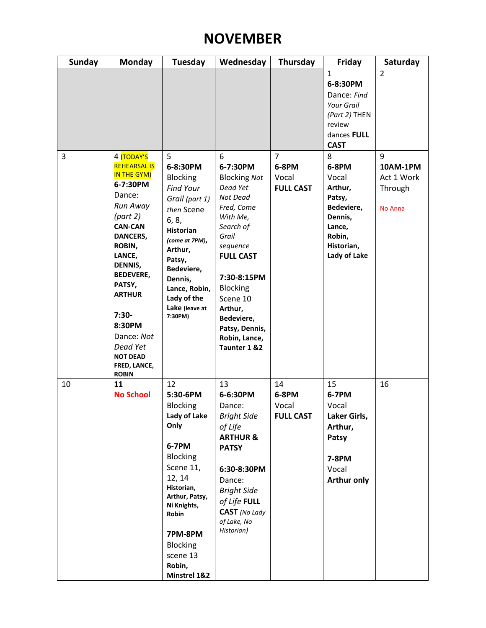## **NOVEMBER**

| <b>Sunday</b> | Monday                                                                                                                                                                                                                                                                                                      | <b>Tuesday</b>                                                                                                                                                                                                                                 | Wednesday                                                                                                                                                                                                                                                              | Thursday                                             | <b>Friday</b>                                                                                                         | Saturday                                                 |
|---------------|-------------------------------------------------------------------------------------------------------------------------------------------------------------------------------------------------------------------------------------------------------------------------------------------------------------|------------------------------------------------------------------------------------------------------------------------------------------------------------------------------------------------------------------------------------------------|------------------------------------------------------------------------------------------------------------------------------------------------------------------------------------------------------------------------------------------------------------------------|------------------------------------------------------|-----------------------------------------------------------------------------------------------------------------------|----------------------------------------------------------|
|               |                                                                                                                                                                                                                                                                                                             |                                                                                                                                                                                                                                                |                                                                                                                                                                                                                                                                        |                                                      | $\mathbf{1}$<br>6-8:30PM<br>Dance: Find<br><b>Your Grail</b><br>(Part 2) THEN<br>review<br>dances FULL<br><b>CAST</b> | $\overline{2}$                                           |
| 3             | 4 TODAY'S<br><b>REHEARSAL IS</b><br>IN THE GYM)<br>6-7:30PM<br>Dance:<br>Run Away<br>(part 2)<br><b>CAN-CAN</b><br>DANCERS,<br>ROBIN,<br>LANCE,<br>DENNIS,<br><b>BEDEVERE,</b><br>PATSY,<br><b>ARTHUR</b><br>$7:30-$<br>8:30PM<br>Dance: Not<br>Dead Yet<br><b>NOT DEAD</b><br>FRED, LANCE,<br><b>ROBIN</b> | 5<br>6-8:30PM<br><b>Blocking</b><br><b>Find Your</b><br>Grail (part 1)<br>then Scene<br>6, 8,<br><b>Historian</b><br>(come at 7PM),<br>Arthur,<br>Patsy,<br>Bedeviere,<br>Dennis,<br>Lance, Robin,<br>Lady of the<br>Lake (leave at<br>7:30PM) | 6<br>6-7:30PM<br><b>Blocking Not</b><br>Dead Yet<br>Not Dead<br>Fred, Come<br>With Me,<br>Search of<br>Grail<br>sequence<br><b>FULL CAST</b><br>7:30-8:15PM<br><b>Blocking</b><br>Scene 10<br>Arthur,<br>Bedeviere,<br>Patsy, Dennis,<br>Robin, Lance,<br>Taunter 1 &2 | $\overline{7}$<br>6-8PM<br>Vocal<br><b>FULL CAST</b> | 8<br>6-8PM<br>Vocal<br>Arthur,<br>Patsy,<br>Bedeviere,<br>Dennis,<br>Lance,<br>Robin,<br>Historian,<br>Lady of Lake   | 9<br>10AM-1PM<br>Act 1 Work<br>Through<br><b>No Anna</b> |
| 10            | 11<br><b>No School</b>                                                                                                                                                                                                                                                                                      | 12<br>5:30-6PM<br><b>Blocking</b><br>Lady of Lake<br>Only<br>6-7PM<br><b>Blocking</b><br>Scene 11,<br>12, 14<br>Historian,<br>Arthur, Patsy,<br>Ni Knights,<br>Robin<br>7PM-8PM<br><b>Blocking</b><br>scene 13<br>Robin,<br>Minstrel 1&2       | 13<br>6-6:30PM<br>Dance:<br><b>Bright Side</b><br>of Life<br><b>ARTHUR &amp;</b><br><b>PATSY</b><br>6:30-8:30PM<br>Dance:<br><b>Bright Side</b><br>of Life FULL<br>CAST (No Lady<br>of Lake, No<br>Historian)                                                          | 14<br>6-8PM<br>Vocal<br><b>FULL CAST</b>             | 15<br>6-7PM<br>Vocal<br>Laker Girls,<br>Arthur,<br>Patsy<br>7-8PM<br>Vocal<br><b>Arthur only</b>                      | 16                                                       |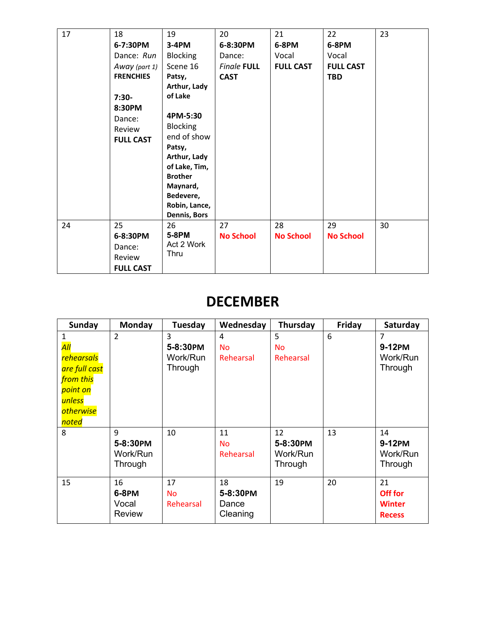| 17 | 18<br>6-7:30PM<br>Dance: Run<br>Away (part 1)<br><b>FRENCHIES</b><br>$7:30-$<br>8:30PM<br>Dance:<br>Review<br><b>FULL CAST</b> | 19<br>3-4PM<br><b>Blocking</b><br>Scene 16<br>Patsy,<br>Arthur, Lady<br>of Lake<br>4PM-5:30<br><b>Blocking</b><br>end of show<br>Patsy, | 20<br>6-8:30PM<br>Dance:<br><b>Finale FULL</b><br><b>CAST</b> | 21<br>6-8PM<br>Vocal<br><b>FULL CAST</b> | 22<br>6-8PM<br>Vocal<br><b>FULL CAST</b><br><b>TBD</b> | 23 |
|----|--------------------------------------------------------------------------------------------------------------------------------|-----------------------------------------------------------------------------------------------------------------------------------------|---------------------------------------------------------------|------------------------------------------|--------------------------------------------------------|----|
|    |                                                                                                                                | Arthur, Lady<br>of Lake, Tim,<br><b>Brother</b><br>Maynard,<br>Bedevere,<br>Robin, Lance,<br>Dennis, Bors                               |                                                               |                                          |                                                        |    |
| 24 | 25<br>6-8:30PM<br>Dance:<br>Review<br><b>FULL CAST</b>                                                                         | 26<br>5-8PM<br>Act 2 Work<br>Thru                                                                                                       | 27<br><b>No School</b>                                        | 28<br><b>No School</b>                   | 29<br><b>No School</b>                                 | 30 |

### **DECEMBER**

| <b>Sunday</b>                                                                                                                      | Monday                                | Tuesday                              | Wednesday                           | Thursday                              | Friday | Saturday                                        |
|------------------------------------------------------------------------------------------------------------------------------------|---------------------------------------|--------------------------------------|-------------------------------------|---------------------------------------|--------|-------------------------------------------------|
| 1<br>$\overline{All}$<br><b>rehearsals</b><br>are full cast<br>from this<br>point on<br>unless<br><i>otherwise</i><br><i>noted</i> | $\overline{2}$                        | 3<br>5-8:30PM<br>Work/Run<br>Through | 4<br><b>No</b><br>Rehearsal         | 5<br><b>No</b><br>Rehearsal           | 6      | 7<br>9-12PM<br>Work/Run<br>Through              |
| 8                                                                                                                                  | 9<br>5-8:30PM<br>Work/Run<br>Through  | 10                                   | 11<br><b>No</b><br>Rehearsal        | 12<br>5-8:30PM<br>Work/Run<br>Through | 13     | 14<br>9-12PM<br>Work/Run<br>Through             |
| 15                                                                                                                                 | 16<br>6-8PM<br>Vocal<br><b>Review</b> | 17<br><b>No</b><br>Rehearsal         | 18<br>5-8:30PM<br>Dance<br>Cleaning | 19                                    | 20     | 21<br>Off for<br><b>Winter</b><br><b>Recess</b> |